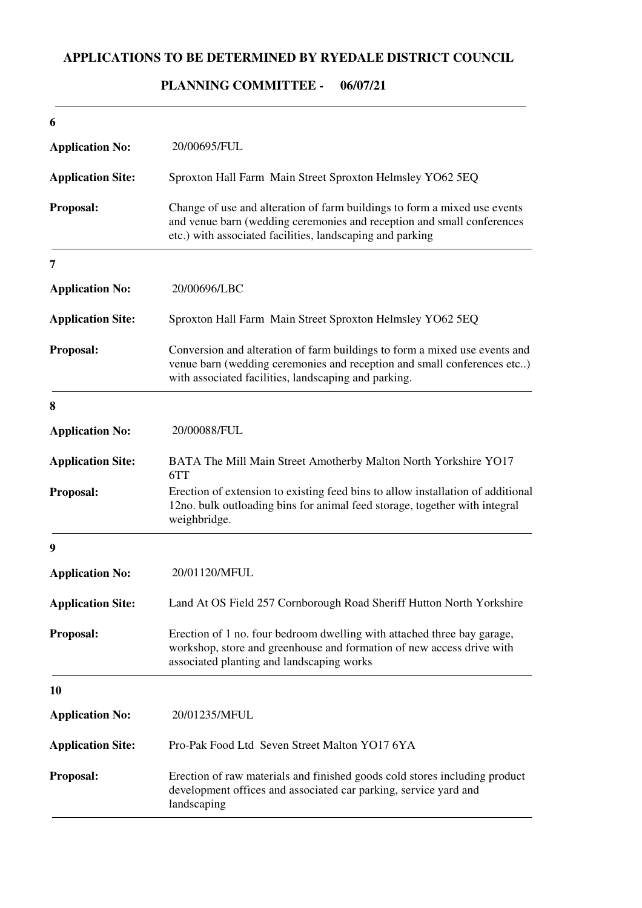## **APPLICATIONS TO BE DETERMINED BY RYEDALE DISTRICT COUNCIL**

## **06/07/21 PLANNING COMMITTEE -**

| 6                        |                                                                                                                                                                                                                  |
|--------------------------|------------------------------------------------------------------------------------------------------------------------------------------------------------------------------------------------------------------|
| <b>Application No:</b>   | 20/00695/FUL                                                                                                                                                                                                     |
| <b>Application Site:</b> | Sproxton Hall Farm Main Street Sproxton Helmsley YO62 5EQ                                                                                                                                                        |
| Proposal:                | Change of use and alteration of farm buildings to form a mixed use events<br>and venue barn (wedding ceremonies and reception and small conferences<br>etc.) with associated facilities, landscaping and parking |
| 7                        |                                                                                                                                                                                                                  |
| <b>Application No:</b>   | 20/00696/LBC                                                                                                                                                                                                     |
| <b>Application Site:</b> | Sproxton Hall Farm Main Street Sproxton Helmsley YO62 5EQ                                                                                                                                                        |
| Proposal:                | Conversion and alteration of farm buildings to form a mixed use events and<br>venue barn (wedding ceremonies and reception and small conferences etc)<br>with associated facilities, landscaping and parking.    |
| 8                        |                                                                                                                                                                                                                  |
| <b>Application No:</b>   | 20/00088/FUL                                                                                                                                                                                                     |
| <b>Application Site:</b> | BATA The Mill Main Street Amotherby Malton North Yorkshire YO17<br>6TT                                                                                                                                           |
| Proposal:                | Erection of extension to existing feed bins to allow installation of additional<br>12no. bulk outloading bins for animal feed storage, together with integral<br>weighbridge.                                    |
| 9                        |                                                                                                                                                                                                                  |
| <b>Application No:</b>   | 20/01120/MFUL                                                                                                                                                                                                    |
| <b>Application Site:</b> | Land At OS Field 257 Cornborough Road Sheriff Hutton North Yorkshire                                                                                                                                             |
| Proposal:                | Erection of 1 no. four bedroom dwelling with attached three bay garage,<br>workshop, store and greenhouse and formation of new access drive with<br>associated planting and landscaping works                    |
| 10                       |                                                                                                                                                                                                                  |
| <b>Application No:</b>   | 20/01235/MFUL                                                                                                                                                                                                    |
| <b>Application Site:</b> | Pro-Pak Food Ltd Seven Street Malton YO17 6YA                                                                                                                                                                    |
| Proposal:                | Erection of raw materials and finished goods cold stores including product<br>development offices and associated car parking, service yard and<br>landscaping                                                    |